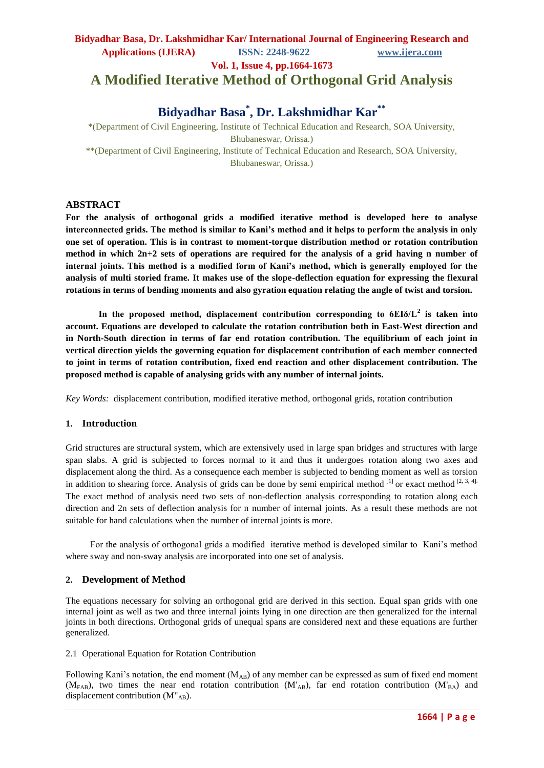**Vol. 1, Issue 4, pp.1664-1673**

**A Modified Iterative Method of Orthogonal Grid Analysis**

# **Bidyadhar Basa\* , Dr. Lakshmidhar Kar\*\***

\*(Department of Civil Engineering, Institute of Technical Education and Research, SOA University, Bhubaneswar, Orissa.) \*\*(Department of Civil Engineering, Institute of Technical Education and Research, SOA University,

Bhubaneswar, Orissa.)

#### **ABSTRACT**

**For the analysis of orthogonal grids a modified iterative method is developed here to analyse interconnected grids. The method is similar to Kani's method and it helps to perform the analysis in only one set of operation. This is in contrast to moment-torque distribution method or rotation contribution method in which 2n+2 sets of operations are required for the analysis of a grid having n number of internal joints. This method is a modified form of Kani's method, which is generally employed for the analysis of multi storied frame. It makes use of the slope-deflection equation for expressing the flexural rotations in terms of bending moments and also gyration equation relating the angle of twist and torsion.**

**In the proposed method, displacement contribution corresponding to 6EIδ/L<sup>2</sup> is taken into account. Equations are developed to calculate the rotation contribution both in East-West direction and in North-South direction in terms of far end rotation contribution. The equilibrium of each joint in vertical direction yields the governing equation for displacement contribution of each member connected to joint in terms of rotation contribution, fixed end reaction and other displacement contribution. The proposed method is capable of analysing grids with any number of internal joints.**

*Key Words:* displacement contribution, modified iterative method, orthogonal grids, rotation contribution

#### **1. Introduction**

Grid structures are structural system, which are extensively used in large span bridges and structures with large span slabs. A grid is subjected to forces normal to it and thus it undergoes rotation along two axes and displacement along the third. As a consequence each member is subjected to bending moment as well as torsion in addition to shearing force. Analysis of grids can be done by semi empirical method  $^{[1]}$  or exact method  $^{[2, 3, 4]}$ . The exact method of analysis need two sets of non-deflection analysis corresponding to rotation along each direction and 2n sets of deflection analysis for n number of internal joints. As a result these methods are not suitable for hand calculations when the number of internal joints is more.

For the analysis of orthogonal grids a modified iterative method is developed similar to Kani"s method where sway and non-sway analysis are incorporated into one set of analysis.

#### **2. Development of Method**

The equations necessary for solving an orthogonal grid are derived in this section. Equal span grids with one internal joint as well as two and three internal joints lying in one direction are then generalized for the internal joints in both directions. Orthogonal grids of unequal spans are considered next and these equations are further generalized.

#### 2.1 Operational Equation for Rotation Contribution

Following Kani's notation, the end moment  $(M_{AB})$  of any member can be expressed as sum of fixed end moment  $(M<sub>FAB</sub>)$ , two times the near end rotation contribution  $(M<sub>AB</sub>)$ , far end rotation contribution  $(M<sub>BA</sub>)$  and displacement contribution  $(M''_{AB})$ .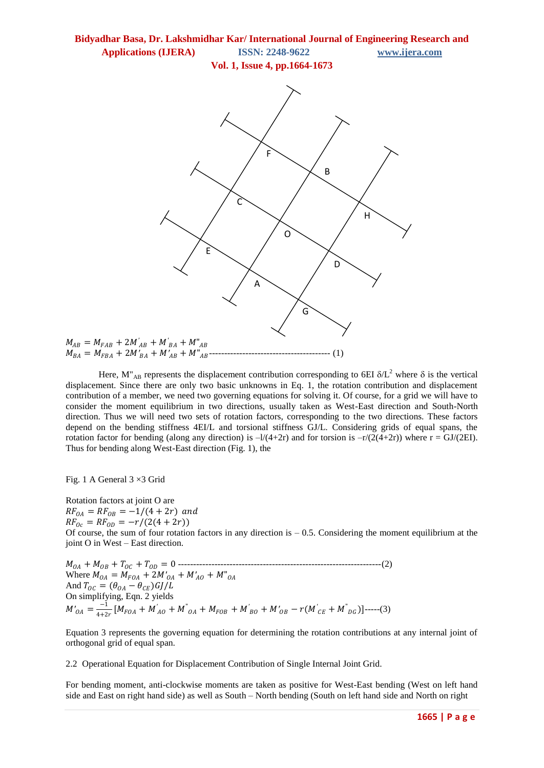

Here, M"<sub>AB</sub> represents the displacement contribution corresponding to 6EI  $\delta/L^2$  where  $\delta$  is the vertical displacement. Since there are only two basic unknowns in Eq. 1, the rotation contribution and displacement contribution of a member, we need two governing equations for solving it. Of course, for a grid we will have to consider the moment equilibrium in two directions, usually taken as West-East direction and South-North direction. Thus we will need two sets of rotation factors, corresponding to the two directions. These factors depend on the bending stiffness 4EI/L and torsional stiffness GJ/L. Considering grids of equal spans, the rotation factor for bending (along any direction) is  $-l/(4+2r)$  and for torsion is  $-r/(2(4+2r))$  where  $r = GJ/(2EI)$ . Thus for bending along West-East direction (Fig. 1), the

Fig. 1 A General 3 ×3 Grid

Rotation factors at joint O are  $RF_{OA} = RF_{OB} = -1/(4 + 2r)$  and  $RF_{0c} = RF_{0D} = -r/(2(4+2r))$ Of course, the sum of four rotation factors in any direction is  $-0.5$ . Considering the moment equilibrium at the joint O in West – East direction.

 + + + = 0 -------------------------------------------------------------------(2) Where  $M_{OA} = M_{FOA} + \tilde{2}M'_{OA} + M'_{AO} + M''_{OA}$ And  $T_{OC} = (\theta_{OA} - \theta_{CE})GJ/L$ On simplifying, Eqn. 2 yields  $M'_{OA} = \frac{-1}{4+2}$  $\frac{-1}{4+2r} [M_{F0A} + M'_{A0} + M''_{0A} + M_{F0B} + M'_{B0} + M'_{0B} - r(M'_{CE} + M''_{DG})]$ -----(3)

Equation 3 represents the governing equation for determining the rotation contributions at any internal joint of orthogonal grid of equal span.

2.2 Operational Equation for Displacement Contribution of Single Internal Joint Grid.

For bending moment, anti-clockwise moments are taken as positive for West-East bending (West on left hand side and East on right hand side) as well as South – North bending (South on left hand side and North on right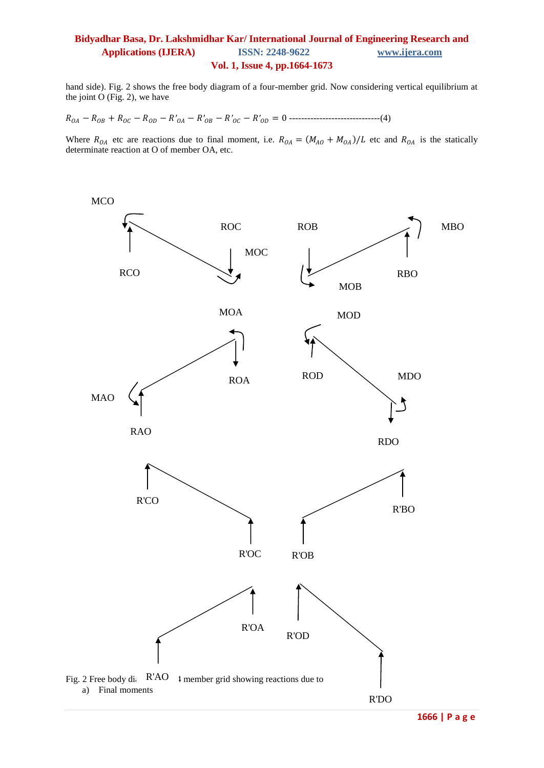hand side). Fig. 2 shows the free body diagram of a four-member grid. Now considering vertical equilibrium at the joint O (Fig. 2), we have

− + − − *′* − *′* − *′* − *′* = 0 ------------------------------(4)

Where  $R_{OA}$  etc are reactions due to final moment, i.e.  $R_{OA} = (M_{AO} + M_{OA})/L$  etc and  $R_{OA}$  is the statically determinate reaction at O of member OA, etc.

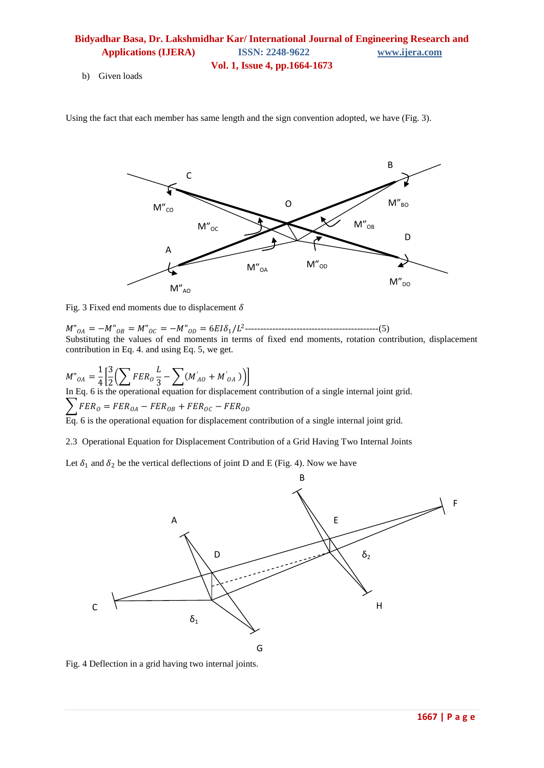b) Given loads

Using the fact that each member has same length and the sign convention adopted, we have (Fig. 3).



Fig. 3 Fixed end moments due to displacement  $\delta$ 

" = −" = " = −" = 61/ 2 --------------------------------------------(5) Substituting the values of end moments in terms of fixed end moments, rotation contribution, displacement contribution in Eq. 4. and using Eq. 5, we get.

 $M''_{OA} = \frac{1}{4}$  $\frac{1}{4}$  $\left[\frac{3}{2}\right]$  $\frac{3}{2}(\sum \mathit{FER}_o\frac{L}{3}$  $\frac{2}{3} - \sum (M'_{A0} + M'_{OA})$ In Eq. 6 is the operational equation for displacement contribution of a single internal joint grid.  $\sum FER_O = FER_{OA} - FER_{OB} + FER_{OC} - FER_{OD}$ Eq. 6 is the operational equation for displacement contribution of a single internal joint grid.

2.3 Operational Equation for Displacement Contribution of a Grid Having Two Internal Joints

Let  $\delta_1$  and  $\delta_2$  be the vertical deflections of joint D and E (Fig. 4). Now we have



Fig. 4 Deflection in a grid having two internal joints.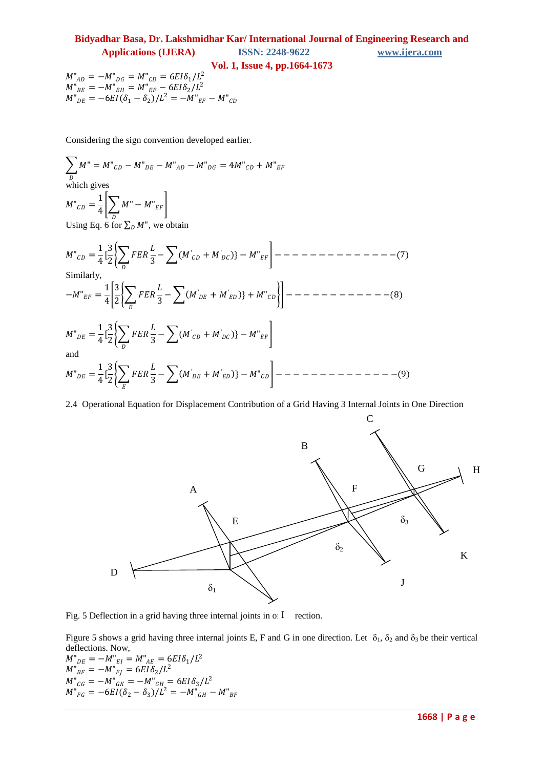**Vol. 1, Issue 4, pp.1664-1673**

## $M''_{AD} = -M''_{DG} = M''_{CD} = 6EI\delta_1/L^2$  $M''_{BE} = -M''_{EH} = M''_{EF} - 6EI\delta_2/L^2$  $M''_{DE} = -6EI(\delta_1 - \delta_2)/L^2 = -M''_{EF} - M''_{CD}$

Considering the sign convention developed earlier.

$$
\sum_{D} M'' = M''_{CD} - M''_{DE} - M''_{AD} - M''_{DG} = 4M''_{CD} + M''_{EF}
$$
  
which gives  

$$
M''_{CD} = \frac{1}{4} \left[ \sum_{D} M'' - M''_{EF} \right]
$$
  
Using Eq. 6 for  $\sum_{D} M''$ , we obtain

" = 1 4 [ 3 2 3 − *′* + *′* } − " − − − − −− − − −− − − −−(7) Similarly, −" = 1 4 3 2 3 − *′* + *′* } + " − − − −− − − − −− − −(8) " = 1 4 [ 3 2 3 − *′* + *′* } − " and " = 1 4 [ 3 2 3 − *′* + *′* } − " − − − − −− − − −− − − − −(9)

2.4 Operational Equation for Displacement Contribution of a Grid Having 3 Internal Joints in One Direction



Fig. 5 Deflection in a grid having three internal joints in  $\alpha$  I rection.

Figure 5 shows a grid having three internal joints E, F and G in one direction. Let  $\delta_1$ ,  $\delta_2$  and  $\delta_3$  be their vertical deflections. Now,

 $M^{\prime \prime}_{DE} = -M^{\prime \prime}_{EI} = M^{\prime \prime}_{AE} = 6EI\delta_1/L^2$  $M''_{BF} = -M''_{FJ} = 6EI\delta_2/L^2$  $M''_{CG} = -M''_{GK} = -M''_{GH} = 6EI\delta_3/L^2$  $M''_{FG} = -6EI(\delta_2 - \delta_3)/L^2 = -M''_{GH} - M''_{BF}$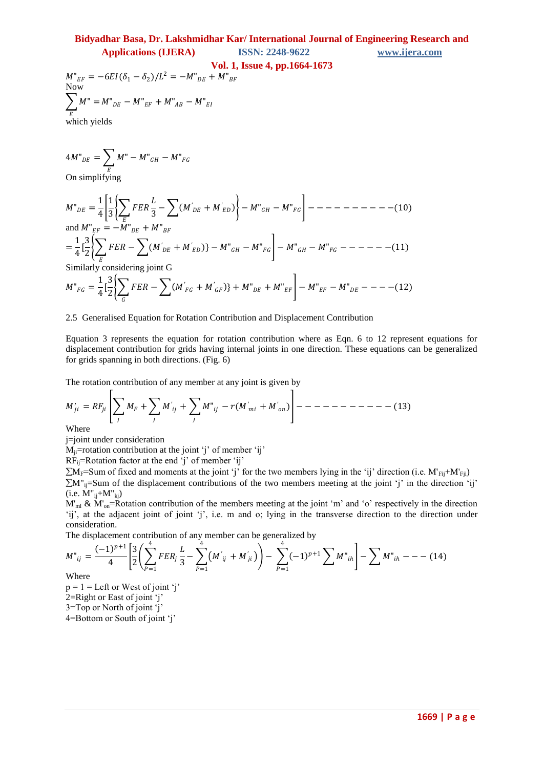# **Vol. 1, Issue 4, pp.1664-1673**

$$
M^{\prime\prime}_{EF} = -6EI(\delta_1 - \delta_2)/L^2 = -M^{\prime\prime}_{DE} + M^{\prime\prime}_{BF}
$$
  
Now  

$$
\sum_{E} M^{\prime\prime} = M^{\prime\prime}_{DE} - M^{\prime\prime}_{EF} + M^{\prime\prime}_{AB} - M^{\prime\prime}_{EI}
$$
  
which yields

$$
4M''_{DE} = \sum_{E} M'' - M''_{GH} - M''_{FG}
$$
  
On simplifying

1 1 − *′* + *′* " = − " − " − −− − − − −− − −(10) 4 3 3 and " = −" + " 1 3 − *′* + *′* } − " − " = [ − " − " − − −− − −(11) 4 2 Similarly considering joint G 1 3 − *′* + *′* " = [ } + " + " − " − " − − − −(12) 4 2 

2.5 Generalised Equation for Rotation Contribution and Displacement Contribution

Equation 3 represents the equation for rotation contribution where as Eqn. 6 to 12 represent equations for displacement contribution for grids having internal joints in one direction. These equations can be generalized for grids spanning in both directions. (Fig. 6)

The rotation contribution of any member at any joint is given by

*′* = + *′* + " − *′* + *′* −− − − −− − − −− − (13)

Where

j=joint under consideration

 $M_{ii}$ =rotation contribution at the joint 'j' of member 'ij'

 $RF_{ij}$ =Rotation factor at the end 'j' of member 'ij'

 $\sum M_F$ =Sum of fixed and moments at the joint 'j' for the two members lying in the 'ij' direction (i.e. M'<sub>Fij</sub>+M'<sub>Fji</sub>)  $\sum M$ "<sub>ii</sub>=Sum of the displacement contributions of the two members meeting at the joint 'j' in the direction 'ij'  $(i.e. M"_{ii}+M"_{ki})$ 

 $M'_{ml} \& M'_{on}$ =Rotation contribution of the members meeting at the joint 'm' and 'o' respectively in the direction 'ij', at the adjacent joint of joint 'j', i.e. m and o; lying in the transverse direction to the direction under consideration.

The displacement contribution of any member can be generalized by

$$
M''_{ij} = \frac{(-1)^{p+1}}{4} \left[ \frac{3}{2} \left( \sum_{P=1}^4 FER_j \frac{L}{3} - \sum_{P=1}^4 (M'_{ij} + M'_{ji}) \right) - \sum_{P=1}^4 (-1)^{p+1} \sum M''_{ih} \right] - \sum M''_{ih} - \dots (14)
$$
  
Where

Where

 $p = 1$  = Left or West of joint 'j' 2=Right or East of joint "j" 3=Top or North of joint "j" 4=Bottom or South of joint "j"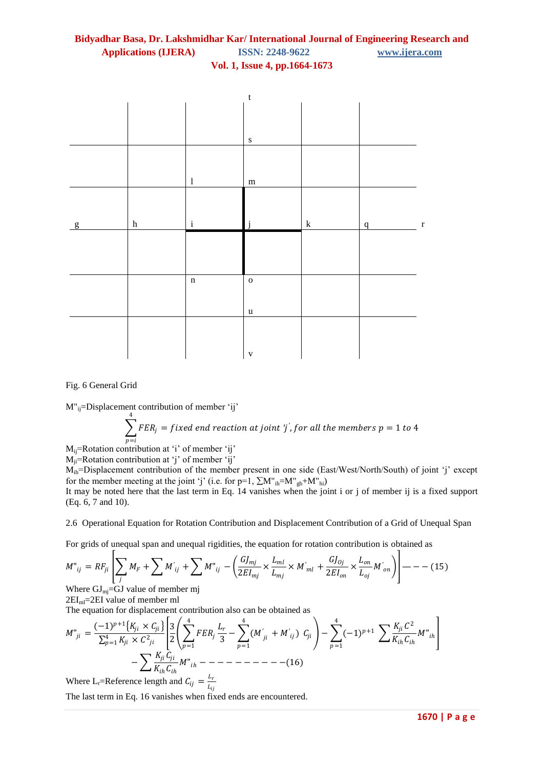

#### Fig. 6 General Grid

M"<sub>ij</sub>=Displacement contribution of member 'ij'

$$
\sum_{p=i}^{4} FER_j = fixed \text{ end reaction at joint } 'j', for \text{ all the members } p = 1 \text{ to } 4
$$

 $M_{ij}$ =Rotation contribution at 'i' of member 'ij'

 $M_{ii}$ =Rotation contribution at 'j' of member 'ij'

Mih=Displacement contribution of the member present in one side (East/West/North/South) of joint "j" except for the member meeting at the joint 'j' (i.e. for p=1,  $\sum M''_{ih} = M''_{gh} + M''_{hi}$ )

It may be noted here that the last term in Eq. 14 vanishes when the joint i or j of member ij is a fixed support (Eq. 6, 7 and 10).

#### 2.6 Operational Equation for Rotation Contribution and Displacement Contribution of a Grid of Unequal Span

For grids of unequal span and unequal rigidities, the equation for rotation contribution is obtained as

$$
M''_{ij} = RF_{ji} \left[ \sum_{j} M_{F} + \sum_{j} M'_{ij} + \sum_{j} M''_{ij} - \left( \frac{GI_{mj}}{2EI_{mj}} \times \frac{L_{ml}}{L_{mj}} \times M'_{ml} + \frac{GI_{0j}}{2EI_{on}} \times \frac{L_{on}}{L_{oj}} M'_{on} \right) \right] - \dots (15)
$$

Where  $GJ_{mj}=GJ$  value of member mj

2EIml=2EI value of member ml

The equation for displacement contribution also can be obtained as

" = (−1) +1 × × 2 4 =1 3 2 3 − (*′* <sup>+</sup> *′* ) 4 =1 4 =1 − −1 +1 2 ℎℎ 4 =1 "ℎ − ℎℎ "ℎ −− − − −− − − −−(16)

Where L<sub>r</sub>=Reference length and  $C_{ij} = \frac{L_r}{L}$  $L_{ij}$ 

The last term in Eq. 16 vanishes when fixed ends are encountered.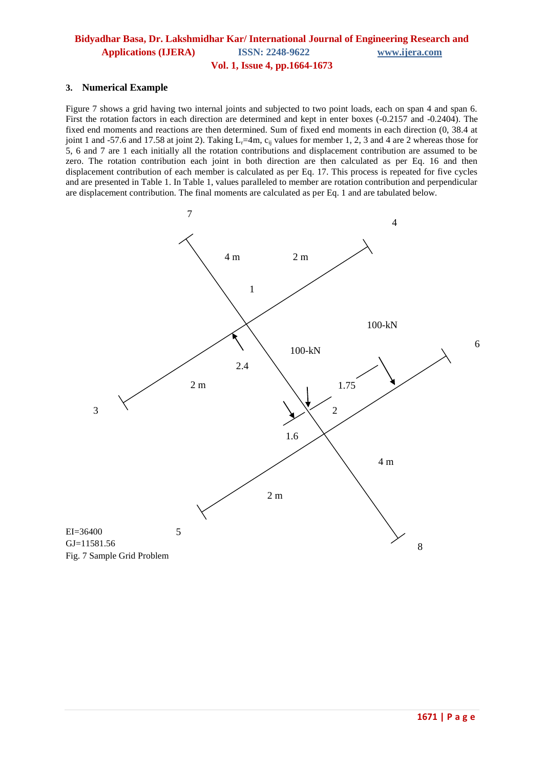#### **3. Numerical Example**

Figure 7 shows a grid having two internal joints and subjected to two point loads, each on span 4 and span 6. First the rotation factors in each direction are determined and kept in enter boxes (-0.2157 and -0.2404). The fixed end moments and reactions are then determined. Sum of fixed end moments in each direction (0, 38.4 at joint 1 and -57.6 and 17.58 at joint 2). Taking  $L<sub>r</sub>=4m$ ,  $c<sub>ij</sub>$  values for member 1, 2, 3 and 4 are 2 whereas those for 5, 6 and 7 are 1 each initially all the rotation contributions and displacement contribution are assumed to be zero. The rotation contribution each joint in both direction are then calculated as per Eq. 16 and then displacement contribution of each member is calculated as per Eq. 17. This process is repeated for five cycles and are presented in Table 1. In Table 1, values paralleled to member are rotation contribution and perpendicular are displacement contribution. The final moments are calculated as per Eq. 1 and are tabulated below.

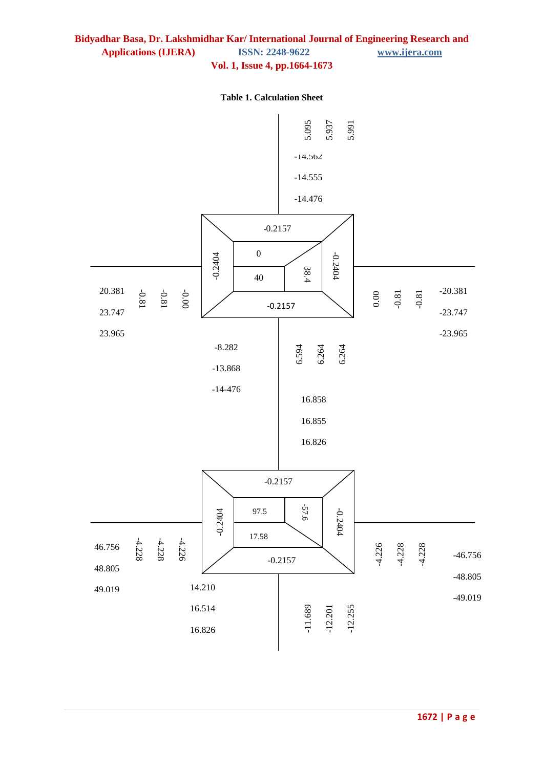#### **Table 1. Calculation Sheet**